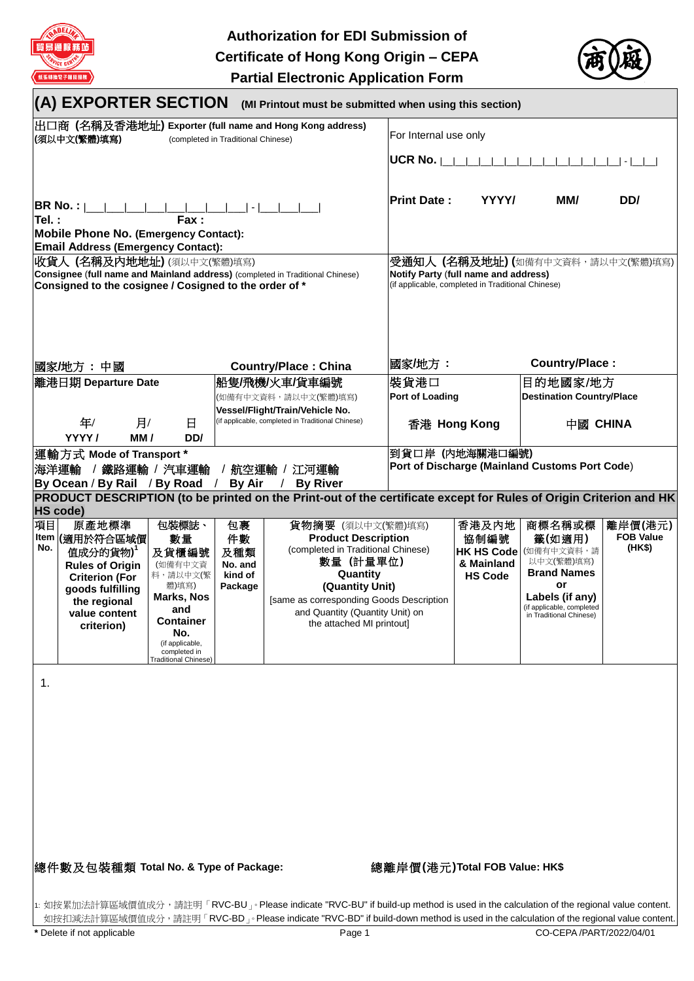

**Authorization for EDI Submission of Certificate of Hong Kong Origin – CEPA Partial Electronic Application Form**



| (A) EXPORTER SECTION<br>(MI Printout must be submitted when using this section)                                                                                       |                                                                                                                                                     |                                                                                                                                                                               |                                                                                      |                                                                                                                                                                                                                                               |                                                |                                                                    |                                                                                                                                                     |                                       |
|-----------------------------------------------------------------------------------------------------------------------------------------------------------------------|-----------------------------------------------------------------------------------------------------------------------------------------------------|-------------------------------------------------------------------------------------------------------------------------------------------------------------------------------|--------------------------------------------------------------------------------------|-----------------------------------------------------------------------------------------------------------------------------------------------------------------------------------------------------------------------------------------------|------------------------------------------------|--------------------------------------------------------------------|-----------------------------------------------------------------------------------------------------------------------------------------------------|---------------------------------------|
| 出口商 (名稱及香港地址) Exporter (full name and Hong Kong address)<br>(須以中文(繁體)填寫)<br>(completed in Traditional Chinese)                                                        |                                                                                                                                                     |                                                                                                                                                                               |                                                                                      | For Internal use only                                                                                                                                                                                                                         |                                                |                                                                    |                                                                                                                                                     |                                       |
|                                                                                                                                                                       |                                                                                                                                                     |                                                                                                                                                                               |                                                                                      |                                                                                                                                                                                                                                               | <b>UCR No.</b>                                 |                                                                    |                                                                                                                                                     |                                       |
| BR No. :  <br>$\sim$<br>Tel.:<br>Fax:<br><b>Mobile Phone No. (Emergency Contact):</b>                                                                                 |                                                                                                                                                     |                                                                                                                                                                               |                                                                                      |                                                                                                                                                                                                                                               | <b>Print Date:</b>                             | YYYY/                                                              | MM/                                                                                                                                                 | DD/                                   |
|                                                                                                                                                                       | <b>Email Address (Emergency Contact):</b>                                                                                                           |                                                                                                                                                                               |                                                                                      |                                                                                                                                                                                                                                               |                                                |                                                                    |                                                                                                                                                     |                                       |
| 收貨人 (名稱及內地地址) (須以中文(繁體)填寫)<br>Consignee (full name and Mainland address) (completed in Traditional Chinese)<br>Consigned to the cosignee / Cosigned to the order of * |                                                                                                                                                     |                                                                                                                                                                               |                                                                                      | 受通知人 (名稱及地址) (如備有中文資料,請以中文(繁體)填寫)<br>Notify Party (full name and address)<br>(if applicable, completed in Traditional Chinese)                                                                                                                |                                                |                                                                    |                                                                                                                                                     |                                       |
|                                                                                                                                                                       | 國家/地方:中國                                                                                                                                            |                                                                                                                                                                               |                                                                                      | <b>Country/Place: China</b>                                                                                                                                                                                                                   | 國家/地方:                                         |                                                                    | Country/Place:                                                                                                                                      |                                       |
|                                                                                                                                                                       | 離港日期 Departure Date                                                                                                                                 |                                                                                                                                                                               |                                                                                      | 船隻/飛機/火車/貨車編號                                                                                                                                                                                                                                 | 裝貨港口                                           |                                                                    | 目的地國家/地方                                                                                                                                            |                                       |
|                                                                                                                                                                       |                                                                                                                                                     |                                                                                                                                                                               |                                                                                      | (如備有中文資料,請以中文(繁體)填寫)                                                                                                                                                                                                                          | <b>Port of Loading</b>                         |                                                                    | <b>Destination Country/Place</b>                                                                                                                    |                                       |
| 年/<br>月/<br>日<br>YYYY/<br>MM/<br>DD/                                                                                                                                  |                                                                                                                                                     |                                                                                                                                                                               | Vessel/Flight/Train/Vehicle No.<br>(if applicable, completed in Traditional Chinese) |                                                                                                                                                                                                                                               | 香港 Hong Kong                                   |                                                                    | 中國 CHINA                                                                                                                                            |                                       |
|                                                                                                                                                                       | 運輸方式 Mode of Transport *                                                                                                                            |                                                                                                                                                                               |                                                                                      |                                                                                                                                                                                                                                               | 到貨口岸 (内地海關港口編號)                                |                                                                    |                                                                                                                                                     |                                       |
| 海洋運輸                                                                                                                                                                  | / 鐵路運輸 / 汽車運輸                                                                                                                                       |                                                                                                                                                                               |                                                                                      | / 航空運輸 / 江河運輸                                                                                                                                                                                                                                 | Port of Discharge (Mainland Customs Port Code) |                                                                    |                                                                                                                                                     |                                       |
|                                                                                                                                                                       | By Ocean / By Rail / By Road /                                                                                                                      |                                                                                                                                                                               | <b>By Air</b>                                                                        | <b>By River</b>                                                                                                                                                                                                                               |                                                |                                                                    |                                                                                                                                                     |                                       |
| <b>HS code)</b>                                                                                                                                                       |                                                                                                                                                     |                                                                                                                                                                               |                                                                                      | PRODUCT DESCRIPTION (to be printed on the Print-out of the certificate except for Rules of Origin Criterion and HK                                                                                                                            |                                                |                                                                    |                                                                                                                                                     |                                       |
| 項目<br>Item<br>No.                                                                                                                                                     | 原產地標準<br>(適用於符合區域價<br>值成分的貨物)<br><b>Rules of Origin</b><br><b>Criterion (For</b><br>goods fulfilling<br>the regional<br>value content<br>criterion) | 包裝標誌、<br>數量<br>及貨櫃編號<br>(如備有中文資<br>料,請以中文(繁<br>體)填寫)<br><b>Marks, Nos</b><br>and<br><b>Container</b><br>No.<br>(if applicable,<br>completed in<br><b>Traditional Chinese)</b> | 包裹<br>件數<br>及種類<br>No. and<br>kind of<br>Package                                     | 貨物摘要 (須以中文(繁體)填寫)<br><b>Product Description</b><br>(completed in Traditional Chinese)<br>數量 (計量單位)<br>Quantity<br>(Quantity Unit)<br>[same as corresponding Goods Description<br>and Quantity (Quantity Unit) on<br>the attached MI printout] |                                                | 香港及内地<br>協制編號<br><b>HK HS Code</b><br>& Mainland<br><b>HS Code</b> | 商標名稱或標<br>籤(如適用)<br>(如備有中文資料,請<br>以中文(繁體)填寫)<br><b>Brand Names</b><br>or<br>Labels (if any)<br>(if applicable, completed<br>in Traditional Chinese) | 離岸價(港元)<br><b>FOB Value</b><br>(HK\$) |
| $\mathbf 1$ .                                                                                                                                                         | 總件數及包裝種類 Total No. & Type of Package:                                                                                                               |                                                                                                                                                                               |                                                                                      |                                                                                                                                                                                                                                               | 總離岸價(港元)Total FOB Value: HK\$                  |                                                                    |                                                                                                                                                     |                                       |

1: 如按累加法計算區域價值成分,請註明「RVC-BU」。Please indicate "RVC-BU" if build-up method is used in the calculation of the regional value content. 如按扣減法計算區域價值成分,請註明「RVC-BD」。Please indicate "RVC-BD" if build-down method is used in the calculation of the regional value content.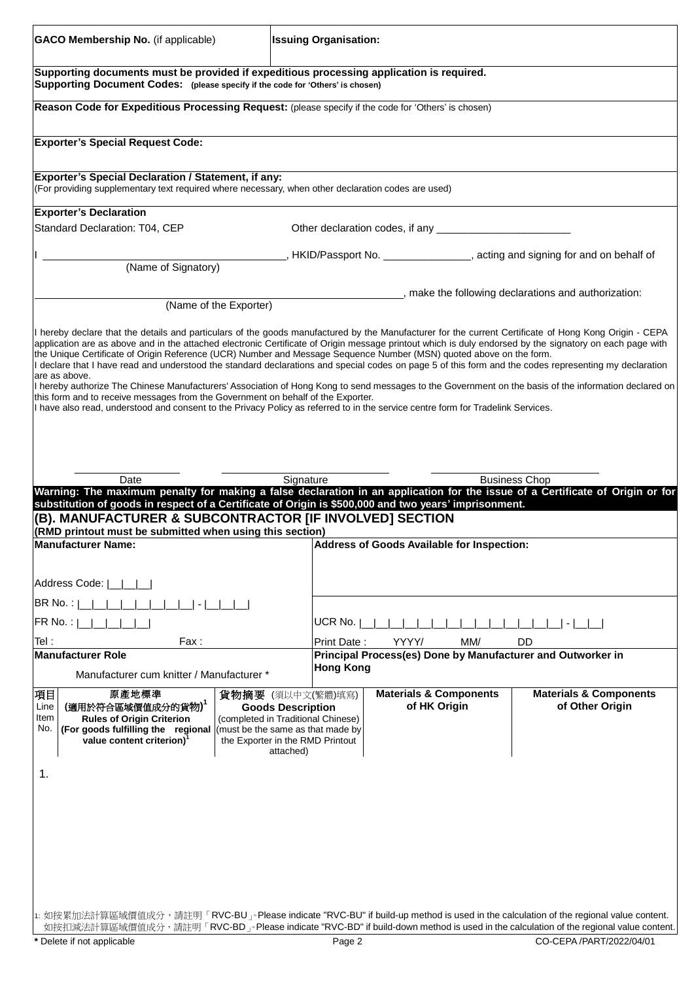| <b>GACO Membership No.</b> (if applicable)                                                                                                                                                                                                                                                                                                                                                                                                                                                                                                                                                                                                                                                                                                                                                                                                                                                                                                                                                                                                                                                                                                                                                                                                        | <b>Issuing Organisation:</b>                                                                                                         |                                                             |                                                                              |  |  |
|---------------------------------------------------------------------------------------------------------------------------------------------------------------------------------------------------------------------------------------------------------------------------------------------------------------------------------------------------------------------------------------------------------------------------------------------------------------------------------------------------------------------------------------------------------------------------------------------------------------------------------------------------------------------------------------------------------------------------------------------------------------------------------------------------------------------------------------------------------------------------------------------------------------------------------------------------------------------------------------------------------------------------------------------------------------------------------------------------------------------------------------------------------------------------------------------------------------------------------------------------|--------------------------------------------------------------------------------------------------------------------------------------|-------------------------------------------------------------|------------------------------------------------------------------------------|--|--|
| Supporting documents must be provided if expeditious processing application is required.<br>Supporting Document Codes: (please specify if the code for 'Others' is chosen)                                                                                                                                                                                                                                                                                                                                                                                                                                                                                                                                                                                                                                                                                                                                                                                                                                                                                                                                                                                                                                                                        |                                                                                                                                      |                                                             |                                                                              |  |  |
| Reason Code for Expeditious Processing Request: (please specify if the code for 'Others' is chosen)                                                                                                                                                                                                                                                                                                                                                                                                                                                                                                                                                                                                                                                                                                                                                                                                                                                                                                                                                                                                                                                                                                                                               |                                                                                                                                      |                                                             |                                                                              |  |  |
| <b>Exporter's Special Request Code:</b>                                                                                                                                                                                                                                                                                                                                                                                                                                                                                                                                                                                                                                                                                                                                                                                                                                                                                                                                                                                                                                                                                                                                                                                                           |                                                                                                                                      |                                                             |                                                                              |  |  |
| <b>Exporter's Special Declaration / Statement, if any:</b><br>(For providing supplementary text required where necessary, when other declaration codes are used)                                                                                                                                                                                                                                                                                                                                                                                                                                                                                                                                                                                                                                                                                                                                                                                                                                                                                                                                                                                                                                                                                  |                                                                                                                                      |                                                             |                                                                              |  |  |
| <b>Exporter's Declaration</b>                                                                                                                                                                                                                                                                                                                                                                                                                                                                                                                                                                                                                                                                                                                                                                                                                                                                                                                                                                                                                                                                                                                                                                                                                     |                                                                                                                                      |                                                             |                                                                              |  |  |
| Standard Declaration: T04, CEP                                                                                                                                                                                                                                                                                                                                                                                                                                                                                                                                                                                                                                                                                                                                                                                                                                                                                                                                                                                                                                                                                                                                                                                                                    |                                                                                                                                      |                                                             |                                                                              |  |  |
| (Name of Signatory)                                                                                                                                                                                                                                                                                                                                                                                                                                                                                                                                                                                                                                                                                                                                                                                                                                                                                                                                                                                                                                                                                                                                                                                                                               |                                                                                                                                      |                                                             | , HKID/Passport No. _______________, acting and signing for and on behalf of |  |  |
|                                                                                                                                                                                                                                                                                                                                                                                                                                                                                                                                                                                                                                                                                                                                                                                                                                                                                                                                                                                                                                                                                                                                                                                                                                                   | (Name of the Exporter)                                                                                                               |                                                             | _, make the following declarations and authorization:                        |  |  |
| application are as above and in the attached electronic Certificate of Origin message printout which is duly endorsed by the signatory on each page with<br>the Unique Certificate of Origin Reference (UCR) Number and Message Sequence Number (MSN) quoted above on the form.<br>I declare that I have read and understood the standard declarations and special codes on page 5 of this form and the codes representing my declaration<br>are as above.<br>I hereby authorize The Chinese Manufacturers' Association of Hong Kong to send messages to the Government on the basis of the information declared on<br>this form and to receive messages from the Government on behalf of the Exporter.<br>I have also read, understood and consent to the Privacy Policy as referred to in the service centre form for Tradelink Services.<br>Date<br>Warning: The maximum penalty for making a false declaration in an application for the issue of a Certificate of Origin or for<br>substitution of goods in respect of a Certificate of Origin is \$500,000 and two years' imprisonment.<br>(B). MANUFACTURER & SUBCONTRACTOR [IF INVOLVED] SECTION<br>(RMD printout must be submitted when using this section)<br><b>Manufacturer Name:</b> | Signature                                                                                                                            | Address of Goods Available for Inspection:                  | <b>Business Chop</b>                                                         |  |  |
| Address Code:  <br>BR No.:                                                                                                                                                                                                                                                                                                                                                                                                                                                                                                                                                                                                                                                                                                                                                                                                                                                                                                                                                                                                                                                                                                                                                                                                                        |                                                                                                                                      |                                                             |                                                                              |  |  |
| FR No. :                                                                                                                                                                                                                                                                                                                                                                                                                                                                                                                                                                                                                                                                                                                                                                                                                                                                                                                                                                                                                                                                                                                                                                                                                                          | UCR No.                                                                                                                              |                                                             |                                                                              |  |  |
| Tel:<br>Fax:                                                                                                                                                                                                                                                                                                                                                                                                                                                                                                                                                                                                                                                                                                                                                                                                                                                                                                                                                                                                                                                                                                                                                                                                                                      |                                                                                                                                      | YYYY/<br>MM/<br><b>DD</b><br>Print Date:                    |                                                                              |  |  |
| <b>Manufacturer Role</b><br>Manufacturer cum knitter / Manufacturer *                                                                                                                                                                                                                                                                                                                                                                                                                                                                                                                                                                                                                                                                                                                                                                                                                                                                                                                                                                                                                                                                                                                                                                             | <b>Hong Kong</b>                                                                                                                     | Principal Process(es) Done by Manufacturer and Outworker in |                                                                              |  |  |
| 原產地標準<br>項目<br>(適用於符合區域價值成分的貨物)<br>Line<br>Item<br><b>Rules of Origin Criterion</b><br>No.<br>(For goods fulfilling the regional (must be the same as that made by<br>value content criterion)<br>1.                                                                                                                                                                                                                                                                                                                                                                                                                                                                                                                                                                                                                                                                                                                                                                                                                                                                                                                                                                                                                                              | 貨物摘要 (須以中文(繁體)填寫)<br><b>Goods Description</b><br>(completed in Traditional Chinese)<br>the Exporter in the RMD Printout<br>attached) | <b>Materials &amp; Components</b><br>of HK Origin           | <b>Materials &amp; Components</b><br>of Other Origin                         |  |  |
| 1: 如按累加法計算區域價值成分,請註明「RVC-BU」。Please indicate "RVC-BU" if build-up method is used in the calculation of the regional value content.<br>如按扣減法計算區域價值成分,請註明「RVC-BD」。Please indicate "RVC-BD" if build-down method is used in the calculation of the regional value content.<br>Delete if not applicable                                                                                                                                                                                                                                                                                                                                                                                                                                                                                                                                                                                                                                                                                                                                                                                                                                                                                                                                               | Page 2                                                                                                                               |                                                             | CO-CEPA /PART/2022/04/01                                                     |  |  |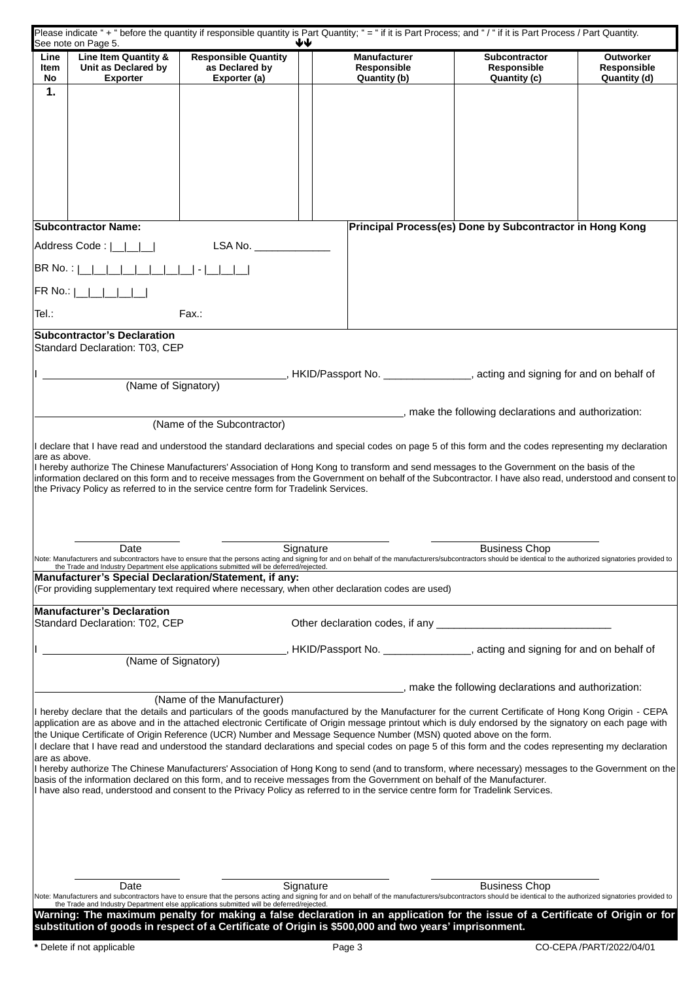|                | See note on Page 5.                         |                                                                                          | ₩                                                                                                                                                                                                                                                                                  |                                                          |                                 |
|----------------|---------------------------------------------|------------------------------------------------------------------------------------------|------------------------------------------------------------------------------------------------------------------------------------------------------------------------------------------------------------------------------------------------------------------------------------|----------------------------------------------------------|---------------------------------|
| Line<br>Item   | Line Item Quantity &<br>Unit as Declared by | <b>Responsible Quantity</b><br>as Declared by                                            | <b>Manufacturer</b><br>Responsible                                                                                                                                                                                                                                                 | <b>Subcontractor</b><br>Responsible                      | <b>Outworker</b><br>Responsible |
| No             | <b>Exporter</b>                             | Exporter (a)                                                                             | Quantity (b)                                                                                                                                                                                                                                                                       | Quantity (c)                                             | Quantity (d)                    |
| 1.             |                                             |                                                                                          |                                                                                                                                                                                                                                                                                    |                                                          |                                 |
|                |                                             |                                                                                          |                                                                                                                                                                                                                                                                                    |                                                          |                                 |
|                |                                             |                                                                                          |                                                                                                                                                                                                                                                                                    |                                                          |                                 |
|                |                                             |                                                                                          |                                                                                                                                                                                                                                                                                    |                                                          |                                 |
|                |                                             |                                                                                          |                                                                                                                                                                                                                                                                                    |                                                          |                                 |
|                |                                             |                                                                                          |                                                                                                                                                                                                                                                                                    |                                                          |                                 |
|                |                                             |                                                                                          |                                                                                                                                                                                                                                                                                    |                                                          |                                 |
|                |                                             |                                                                                          |                                                                                                                                                                                                                                                                                    |                                                          |                                 |
|                | <b>Subcontractor Name:</b>                  |                                                                                          |                                                                                                                                                                                                                                                                                    | Principal Process(es) Done by Subcontractor in Hong Kong |                                 |
|                | Address Code:                               | LSA No. ___________                                                                      |                                                                                                                                                                                                                                                                                    |                                                          |                                 |
| BR No. :       |                                             |                                                                                          |                                                                                                                                                                                                                                                                                    |                                                          |                                 |
|                |                                             |                                                                                          |                                                                                                                                                                                                                                                                                    |                                                          |                                 |
| <b>FR No.:</b> |                                             |                                                                                          |                                                                                                                                                                                                                                                                                    |                                                          |                                 |
| Tel.:          |                                             | Fax.:                                                                                    |                                                                                                                                                                                                                                                                                    |                                                          |                                 |
|                | <b>Subcontractor's Declaration</b>          |                                                                                          |                                                                                                                                                                                                                                                                                    |                                                          |                                 |
|                | Standard Declaration: T03, CEP              |                                                                                          |                                                                                                                                                                                                                                                                                    |                                                          |                                 |
|                |                                             |                                                                                          |                                                                                                                                                                                                                                                                                    |                                                          |                                 |
|                | (Name of Signatory)                         |                                                                                          | HKID/Passport No. ________________, acting and signing for and on behalf of                                                                                                                                                                                                        |                                                          |                                 |
|                |                                             |                                                                                          |                                                                                                                                                                                                                                                                                    |                                                          |                                 |
|                |                                             |                                                                                          |                                                                                                                                                                                                                                                                                    | _, make the following declarations and authorization:    |                                 |
|                |                                             | (Name of the Subcontractor)                                                              |                                                                                                                                                                                                                                                                                    |                                                          |                                 |
|                |                                             |                                                                                          | I declare that I have read and understood the standard declarations and special codes on page 5 of this form and the codes representing my declaration                                                                                                                             |                                                          |                                 |
| are as above.  |                                             |                                                                                          | I hereby authorize The Chinese Manufacturers' Association of Hong Kong to transform and send messages to the Government on the basis of the                                                                                                                                        |                                                          |                                 |
|                |                                             | the Privacy Policy as referred to in the service centre form for Tradelink Services.     | information declared on this form and to receive messages from the Government on behalf of the Subcontractor. I have also read, understood and consent to                                                                                                                          |                                                          |                                 |
|                |                                             |                                                                                          |                                                                                                                                                                                                                                                                                    |                                                          |                                 |
|                |                                             |                                                                                          |                                                                                                                                                                                                                                                                                    |                                                          |                                 |
|                |                                             |                                                                                          |                                                                                                                                                                                                                                                                                    |                                                          |                                 |
|                | Date                                        |                                                                                          | Signature                                                                                                                                                                                                                                                                          | <b>Business Chop</b>                                     |                                 |
|                |                                             |                                                                                          | Note: Manufacturers and subcontractors have to ensure that the persons acting and signing for and on behalf of the manufacturers/subcontractors should be identical to the authorized signatories provided to the Trade and In                                                     |                                                          |                                 |
|                |                                             | Manufacturer's Special Declaration/Statement, if any:                                    |                                                                                                                                                                                                                                                                                    |                                                          |                                 |
|                |                                             |                                                                                          | (For providing supplementary text required where necessary, when other declaration codes are used)                                                                                                                                                                                 |                                                          |                                 |
|                | <b>Manufacturer's Declaration</b>           |                                                                                          |                                                                                                                                                                                                                                                                                    |                                                          |                                 |
|                | Standard Declaration: T02, CEP              |                                                                                          |                                                                                                                                                                                                                                                                                    |                                                          |                                 |
|                |                                             |                                                                                          | HKID/Passport No. ________________, acting and signing for and on behalf of                                                                                                                                                                                                        |                                                          |                                 |
|                | (Name of Signatory)                         |                                                                                          |                                                                                                                                                                                                                                                                                    |                                                          |                                 |
|                |                                             |                                                                                          |                                                                                                                                                                                                                                                                                    |                                                          |                                 |
|                |                                             | (Name of the Manufacturer)                                                               |                                                                                                                                                                                                                                                                                    | , make the following declarations and authorization:     |                                 |
|                |                                             |                                                                                          | I hereby declare that the details and particulars of the goods manufactured by the Manufacturer for the current Certificate of Hong Kong Origin - CEPA                                                                                                                             |                                                          |                                 |
|                |                                             |                                                                                          | application are as above and in the attached electronic Certificate of Origin message printout which is duly endorsed by the signatory on each page with<br>the Unique Certificate of Origin Reference (UCR) Number and Message Sequence Number (MSN) quoted above on the form.    |                                                          |                                 |
|                |                                             |                                                                                          | I declare that I have read and understood the standard declarations and special codes on page 5 of this form and the codes representing my declaration                                                                                                                             |                                                          |                                 |
| are as above.  |                                             |                                                                                          |                                                                                                                                                                                                                                                                                    |                                                          |                                 |
|                |                                             |                                                                                          | I hereby authorize The Chinese Manufacturers' Association of Hong Kong to send (and to transform, where necessary) messages to the Government on the<br>basis of the information declared on this form, and to receive messages from the Government on behalf of the Manufacturer. |                                                          |                                 |
|                |                                             |                                                                                          | I have also read, understood and consent to the Privacy Policy as referred to in the service centre form for Tradelink Services.                                                                                                                                                   |                                                          |                                 |
|                |                                             |                                                                                          |                                                                                                                                                                                                                                                                                    |                                                          |                                 |
|                |                                             |                                                                                          |                                                                                                                                                                                                                                                                                    |                                                          |                                 |
|                |                                             |                                                                                          |                                                                                                                                                                                                                                                                                    |                                                          |                                 |
|                |                                             |                                                                                          |                                                                                                                                                                                                                                                                                    |                                                          |                                 |
|                |                                             |                                                                                          |                                                                                                                                                                                                                                                                                    |                                                          |                                 |
|                | Date                                        |                                                                                          | Signature<br>Note: Manufacturers and subcontractors have to ensure that the persons acting and signing for and on behalf of the manufacturers/subcontractors should be identical to the authorized signatories provided to                                                         | <b>Business Chop</b>                                     |                                 |
|                |                                             | the Trade and Industry Department else applications submitted will be deferred/rejected. |                                                                                                                                                                                                                                                                                    |                                                          |                                 |
|                |                                             |                                                                                          | Warning: The maximum penalty for making a false declaration in an application for the issue of a Certificate of Origin or for<br>substitution of goods in respect of a Certificate of Origin is \$500,000 and two years' imprisonment.                                             |                                                          |                                 |
|                |                                             |                                                                                          |                                                                                                                                                                                                                                                                                    |                                                          |                                 |
|                | * Delete if not applicable                  |                                                                                          | Page 3                                                                                                                                                                                                                                                                             |                                                          | CO-CEPA /PART/2022/04/01        |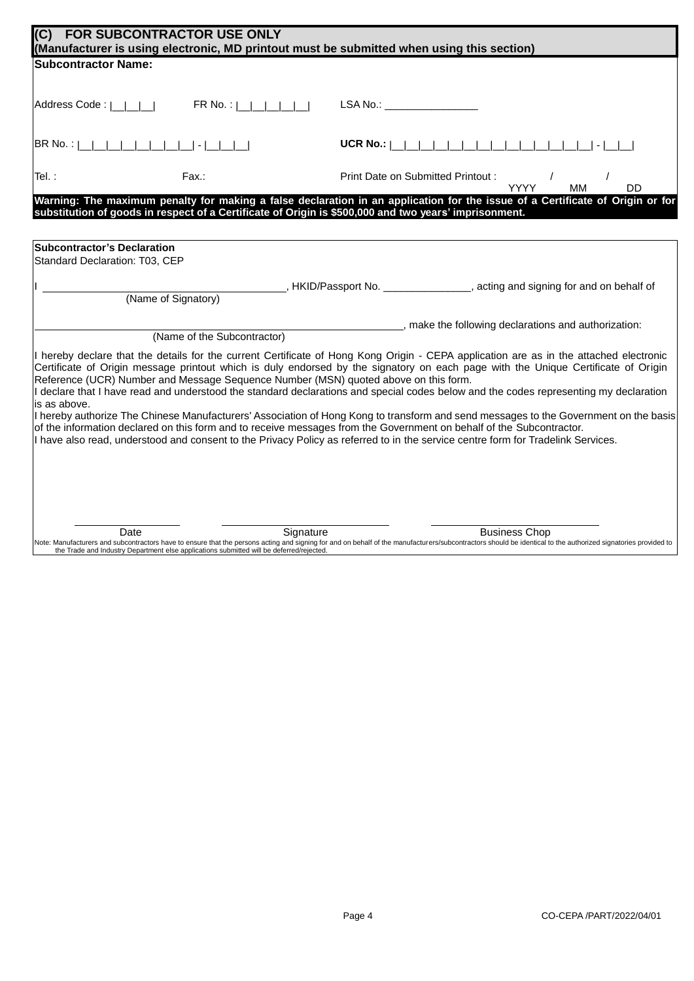| $\overline{\mathsf{IC}}$                                      | FOR SUBCONTRACTOR USE ONLY                                                               | (Manufacturer is using electronic, MD printout must be submitted when using this section)                                                                                                                                                                                                                                                                                                                            |
|---------------------------------------------------------------|------------------------------------------------------------------------------------------|----------------------------------------------------------------------------------------------------------------------------------------------------------------------------------------------------------------------------------------------------------------------------------------------------------------------------------------------------------------------------------------------------------------------|
| <b>Subcontractor Name:</b>                                    |                                                                                          |                                                                                                                                                                                                                                                                                                                                                                                                                      |
|                                                               |                                                                                          |                                                                                                                                                                                                                                                                                                                                                                                                                      |
| Address Code:                                                 | FR No.:                                                                                  | LSA No.: and the state of the state of the state of the state of the state of the state of the state of the state of the state of the state of the state of the state of the state of the state of the state of the state of t                                                                                                                                                                                       |
|                                                               |                                                                                          | UCR No.: $ $                                                                                                                                                                                                                                                                                                                                                                                                         |
| Tel. :                                                        | Fax.:                                                                                    | Print Date on Submitted Printout :<br><b>MM</b><br>DD<br><b>YYYY</b>                                                                                                                                                                                                                                                                                                                                                 |
|                                                               |                                                                                          | Warning: The maximum penalty for making a false declaration in an application for the issue of a Certificate of Origin or for<br>substitution of goods in respect of a Certificate of Origin is \$500,000 and two years' imprisonment.                                                                                                                                                                               |
|                                                               |                                                                                          |                                                                                                                                                                                                                                                                                                                                                                                                                      |
| Subcontractor's Declaration<br>Standard Declaration: T03, CEP |                                                                                          |                                                                                                                                                                                                                                                                                                                                                                                                                      |
|                                                               |                                                                                          | HKID/Passport No. ________________, acting and signing for and on behalf of                                                                                                                                                                                                                                                                                                                                          |
|                                                               | (Name of Signatory)                                                                      |                                                                                                                                                                                                                                                                                                                                                                                                                      |
|                                                               |                                                                                          | __, make the following declarations and authorization:                                                                                                                                                                                                                                                                                                                                                               |
|                                                               | (Name of the Subcontractor)                                                              |                                                                                                                                                                                                                                                                                                                                                                                                                      |
|                                                               | Reference (UCR) Number and Message Sequence Number (MSN) quoted above on this form.      | I hereby declare that the details for the current Certificate of Hong Kong Origin - CEPA application are as in the attached electronic<br>Certificate of Origin message printout which is duly endorsed by the signatory on each page with the Unique Certificate of Origin<br>I declare that I have read and understood the standard declarations and special codes below and the codes representing my declaration |
| lis as above.                                                 |                                                                                          |                                                                                                                                                                                                                                                                                                                                                                                                                      |
|                                                               |                                                                                          | I hereby authorize The Chinese Manufacturers' Association of Hong Kong to transform and send messages to the Government on the basis                                                                                                                                                                                                                                                                                 |
|                                                               |                                                                                          | of the information declared on this form and to receive messages from the Government on behalf of the Subcontractor.<br>I have also read, understood and consent to the Privacy Policy as referred to in the service centre form for Tradelink Services.                                                                                                                                                             |
|                                                               |                                                                                          |                                                                                                                                                                                                                                                                                                                                                                                                                      |
|                                                               |                                                                                          |                                                                                                                                                                                                                                                                                                                                                                                                                      |
|                                                               |                                                                                          |                                                                                                                                                                                                                                                                                                                                                                                                                      |
|                                                               |                                                                                          |                                                                                                                                                                                                                                                                                                                                                                                                                      |
|                                                               |                                                                                          |                                                                                                                                                                                                                                                                                                                                                                                                                      |
| Date                                                          | Signature                                                                                | <b>Business Chop</b><br>Note: Manufacturers and subcontractors have to ensure that the persons acting and signing for and on behalf of the manufacturers/subcontractors should be identical to the authorized signatories provided to                                                                                                                                                                                |
|                                                               | the Trade and Industry Department else applications submitted will be deferred/rejected. |                                                                                                                                                                                                                                                                                                                                                                                                                      |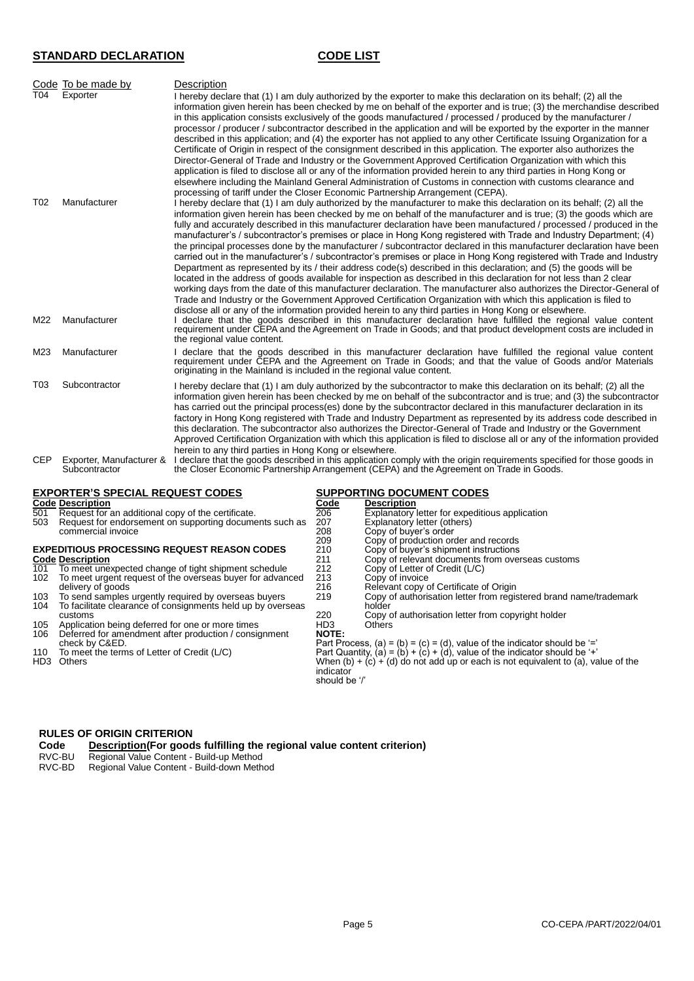# **STANDARD DECLARATION CODE LIST**

|                        | Code To be made by                        | Description                                                                                                                                                                                                                                                                                                                                                                                                                                                                                                                                                                                                                                                                                                                                                                                                                                                                                                                                                                                                                                                                                                                                                                                                                                                                                                                         |
|------------------------|-------------------------------------------|-------------------------------------------------------------------------------------------------------------------------------------------------------------------------------------------------------------------------------------------------------------------------------------------------------------------------------------------------------------------------------------------------------------------------------------------------------------------------------------------------------------------------------------------------------------------------------------------------------------------------------------------------------------------------------------------------------------------------------------------------------------------------------------------------------------------------------------------------------------------------------------------------------------------------------------------------------------------------------------------------------------------------------------------------------------------------------------------------------------------------------------------------------------------------------------------------------------------------------------------------------------------------------------------------------------------------------------|
| T04<br>T <sub>02</sub> | Exporter<br>Manufacturer                  | I hereby declare that (1) I am duly authorized by the exporter to make this declaration on its behalf; (2) all the<br>information given herein has been checked by me on behalf of the exporter and is true; (3) the merchandise described<br>in this application consists exclusively of the goods manufactured / processed / produced by the manufacturer /<br>processor / producer / subcontractor described in the application and will be exported by the exporter in the manner<br>described in this application; and (4) the exporter has not applied to any other Certificate Issuing Organization for a<br>Certificate of Origin in respect of the consignment described in this application. The exporter also authorizes the<br>Director-General of Trade and Industry or the Government Approved Certification Organization with which this<br>application is filed to disclose all or any of the information provided herein to any third parties in Hong Kong or<br>elsewhere including the Mainland General Administration of Customs in connection with customs clearance and<br>processing of tariff under the Closer Economic Partnership Arrangement (CEPA).<br>I hereby declare that (1) I am duly authorized by the manufacturer to make this declaration on its behalf; (2) all the                           |
| M22                    | Manufacturer                              | information given herein has been checked by me on behalf of the manufacturer and is true; (3) the goods which are<br>fully and accurately described in this manufacturer declaration have been manufactured / processed / produced in the<br>manufacturer's / subcontractor's premises or place in Hong Kong registered with Trade and Industry Department; (4)<br>the principal processes done by the manufacturer / subcontractor declared in this manufacturer declaration have been<br>carried out in the manufacturer's / subcontractor's premises or place in Hong Kong registered with Trade and Industry<br>Department as represented by its / their address code(s) described in this declaration; and (5) the goods will be<br>located in the address of goods available for inspection as described in this declaration for not less than 2 clear<br>working days from the date of this manufacturer declaration. The manufacturer also authorizes the Director-General of<br>Trade and Industry or the Government Approved Certification Organization with which this application is filed to<br>disclose all or any of the information provided herein to any third parties in Hong Kong or elsewhere.<br>declare that the goods described in this manufacturer declaration have fulfilled the regional value content |
|                        |                                           | requirement under CEPA and the Agreement on Trade in Goods; and that product development costs are included in<br>the regional value content.                                                                                                                                                                                                                                                                                                                                                                                                                                                                                                                                                                                                                                                                                                                                                                                                                                                                                                                                                                                                                                                                                                                                                                                       |
| M23                    | Manufacturer                              | I declare that the goods described in this manufacturer declaration have fulfilled the regional value content<br>requirement under CEPA and the Agreement on Trade in Goods; and that the value of Goods and/or Materials<br>originating in the Mainland is included in the regional value content.                                                                                                                                                                                                                                                                                                                                                                                                                                                                                                                                                                                                                                                                                                                                                                                                                                                                                                                                                                                                                                 |
| T03                    | Subcontractor                             | I hereby declare that (1) I am duly authorized by the subcontractor to make this declaration on its behalf; (2) all the<br>information given herein has been checked by me on behalf of the subcontractor and is true; and (3) the subcontractor<br>has carried out the principal process(es) done by the subcontractor declared in this manufacturer declaration in its<br>factory in Hong Kong registered with Trade and Industry Department as represented by its address code described in<br>this declaration. The subcontractor also authorizes the Director-General of Trade and Industry or the Government<br>Approved Certification Organization with which this application is filed to disclose all or any of the information provided<br>herein to any third parties in Hong Kong or elsewhere.                                                                                                                                                                                                                                                                                                                                                                                                                                                                                                                         |
| <b>CEP</b>             | Exporter, Manufacturer &<br>Subcontractor | I declare that the goods described in this application comply with the origin requirements specified for those goods in<br>the Closer Economic Partnership Arrangement (CEPA) and the Agreement on Trade in Goods.                                                                                                                                                                                                                                                                                                                                                                                                                                                                                                                                                                                                                                                                                                                                                                                                                                                                                                                                                                                                                                                                                                                  |

# **EXPORTER'S SPECIAL REQUEST CODES**<br> **Code Description**<br>
For Request for an additional copy of the certificate.<br>
For Explanatory letter for expeditious application<br>
For Explanatory letter (others)<br>
Request for endorsement o **Code Description Code Description** 501 Request for an additional copy of the certificate. 206 Explanatory letter for expeditious application 503 Request for endorsement on supporting documents such as 207 Explanatory letter (others) commercial invoice 208 Copy of buyer's order<br>209 Copy of buyer's order<br>209 Copy of production or 209 Copy of production order and records<br>210 Copy of buyer's shipment instructions **EXPEDITIOUS PROCESSING REQUEST REASON CODES** 210 Copy of buyer's shipment instructions<br>
211 Copy of relevant documents from overseas customs **Code Description** 211 Copy of relevant documents from overseas customs 101 To meet unexpected change of tight shipment schedule 212 Copy of Letter of Credit (L/C) 102 To meet unexpected change of tight shipment schedule<br>
102 To meet urgent request of the overseas buyer for advanced 213 Copy of invoice<br>
102 To meet urgent request of the overseas buyer for advanced 213 Copy of invoice 216 Relevant copy of Certificate of Origin<br>219 Copy of authorisation letter from regis 103 To send samples urgently required by overseas buyers 219 Copy of authorisation letter from registered brand name/trademark<br>104 To facilitate clearance of consignments held up by overseas bolder Copy of authorisation le To send samples urgently required by overseas buyers To facilitate clearance of consignments held up by overseas customs 220 220 Copy of authorisation letter from copyright holder<br>HD3 Others 105 Application being deferred for one or more times **HD3** Others<br>106 Deferred for amendment after production / consignment **NOTE:** check by C&ED. Part Process, (a) = (b) = (c) = (d), value of the indicator should be '=' 110 To meet the terms of Letter of Credit (L/C) Part Quantity, (a) = (b) + (c) + (d), value of the indicator should be '+'<br>HD3 Others when (b) + (c) + (d) do not add up or each is not equivalent to (a), value of the indicator should be '/'

# **RULES OF ORIGIN CRITERION**

# **Code Description(For goods fulfilling the regional value content criterion)**<br>RVC-RU **Regional Value Content - Build-up Method**

- Regional Value Content Build-up Method
- RVC-BD Regional Value Content Build-down Method